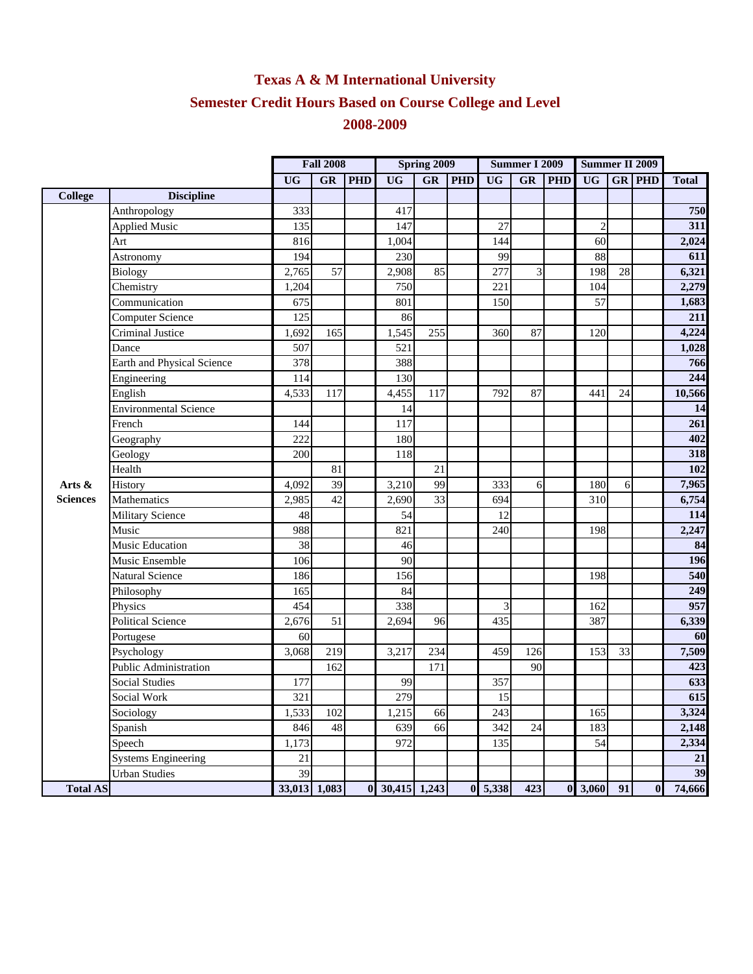## **Texas A & M International University Semester Credit Hours Based on Course College and Level 2008-2009**

|                 |                              | <b>Fall 2008</b> |           |            | Spring 2009      |           |            | <b>Summer I 2009</b> |           |            | <b>Summer II 2009</b>       |    |               |              |
|-----------------|------------------------------|------------------|-----------|------------|------------------|-----------|------------|----------------------|-----------|------------|-----------------------------|----|---------------|--------------|
|                 |                              | <b>UG</b>        | <b>GR</b> | <b>PHD</b> | <b>UG</b>        | <b>GR</b> | <b>PHD</b> | <b>UG</b>            | <b>GR</b> | <b>PHD</b> | <b>UG</b>                   |    | <b>GR PHD</b> | <b>Total</b> |
| <b>College</b>  | <b>Discipline</b>            |                  |           |            |                  |           |            |                      |           |            |                             |    |               |              |
|                 | Anthropology                 | 333              |           |            | 417              |           |            |                      |           |            |                             |    |               | 750          |
|                 | <b>Applied Music</b>         | 135              |           |            | 147              |           |            | 27                   |           |            | $\overline{2}$              |    |               | 311          |
|                 | Art                          | 816              |           |            | 1,004            |           |            | 144                  |           |            | 60                          |    |               | 2,024        |
|                 | Astronomy                    | 194              |           |            | 230              |           |            | 99                   |           |            | 88                          |    |               | 611          |
|                 | <b>Biology</b>               | 2,765            | 57        |            | 2,908            | 85        |            | 277                  | 3         |            | 198                         | 28 |               | 6,321        |
|                 | Chemistry                    | 1,204            |           |            | 750              |           |            | 221                  |           |            | 104                         |    |               | 2,279        |
|                 | Communication                | 675              |           |            | 801              |           |            | 150                  |           |            | 57                          |    |               | 1,683        |
|                 | <b>Computer Science</b>      | 125              |           |            | 86               |           |            |                      |           |            |                             |    |               | 211          |
|                 | Criminal Justice             | 1,692            | 165       |            | 1,545            | 255       |            | 360                  | 87        |            | 120                         |    |               | 4,224        |
|                 | Dance                        | 507              |           |            | 521              |           |            |                      |           |            |                             |    |               | 1,028        |
|                 | Earth and Physical Science   | 378              |           |            | 388              |           |            |                      |           |            |                             |    |               | 766          |
|                 | Engineering                  | 114              |           |            | 130              |           |            |                      |           |            |                             |    |               | 244          |
|                 | English                      | 4,533            | 117       |            | 4,455            | 117       |            | 792                  | 87        |            | 441                         | 24 |               | 10,566       |
|                 | <b>Environmental Science</b> |                  |           |            | 14               |           |            |                      |           |            |                             |    |               | 14           |
|                 | French                       | 144              |           |            | 117              |           |            |                      |           |            |                             |    |               | 261          |
|                 | Geography                    | 222              |           |            | 180              |           |            |                      |           |            |                             |    |               | 402          |
|                 | Geology                      | 200              |           |            | 118              |           |            |                      |           |            |                             |    |               | 318          |
|                 | Health                       |                  | 81        |            |                  | 21        |            |                      |           |            |                             |    |               | 102          |
| Arts &          | History                      | 4,092            | 39        |            | 3,210            | 99        |            | 333                  | 6         |            | 180                         | 6  |               | 7,965        |
| <b>Sciences</b> | Mathematics                  | 2,985            | 42        |            | 2,690            | 33        |            | 694                  |           |            | 310                         |    |               | 6,754        |
|                 | <b>Military Science</b>      | 48               |           |            | 54               |           |            | 12                   |           |            |                             |    |               | 114          |
|                 | Music                        | 988              |           |            | 821              |           |            | 240                  |           |            | 198                         |    |               | 2,247        |
|                 | Music Education              | 38               |           |            | 46               |           |            |                      |           |            |                             |    |               | 84           |
|                 | Music Ensemble               | 106              |           |            | 90               |           |            |                      |           |            |                             |    |               | 196          |
|                 | Natural Science              | 186              |           |            | 156              |           |            |                      |           |            | 198                         |    |               | 540          |
|                 | Philosophy                   | 165              |           |            | 84               |           |            |                      |           |            |                             |    |               | 249          |
|                 | Physics                      | 454              |           |            | 338              |           |            | 3                    |           |            | 162                         |    |               | 957          |
|                 | <b>Political Science</b>     | 2,676            | 51        |            | 2,694            | 96        |            | 435                  |           |            | 387                         |    |               | 6,339        |
|                 | Portugese                    | 60               |           |            |                  |           |            |                      |           |            |                             |    |               | 60           |
|                 | Psychology                   | 3,068            | 219       |            | 3,217            | 234       |            | 459                  | 126       |            | 153                         | 33 |               | 7,509        |
|                 | Public Administration        |                  | 162       |            |                  | 171       |            |                      | 90        |            |                             |    |               | 423          |
|                 | <b>Social Studies</b>        | 177              |           |            | 99               |           |            | 357                  |           |            |                             |    |               | 633          |
|                 | Social Work                  | 321              |           |            | 279              |           |            | 15                   |           |            |                             |    |               | 615          |
|                 | Sociology                    | 1,533            | 102       |            | 1,215            | 66        |            | 243                  |           |            | 165                         |    |               | 3,324        |
|                 | Spanish                      | 846              | 48        |            | 639              | 66        |            | 342                  | 24        |            | 183                         |    |               | 2,148        |
|                 | Speech                       | 1,173            |           |            | 972              |           |            | 135                  |           |            | 54                          |    |               | 2,334        |
|                 | <b>Systems Engineering</b>   | 21               |           |            |                  |           |            |                      |           |            |                             |    |               | 21           |
|                 | <b>Urban Studies</b>         | $\overline{39}$  |           |            |                  |           |            |                      |           |            |                             |    |               | 39           |
| <b>Total AS</b> |                              | 33,013 1,083     |           |            | $0$ 30,415 1,243 |           |            | $0 \quad 5,338$      | 423       |            | $0 \overline{\smash)3,060}$ | 91 | $\bf{0}$      | 74,666       |